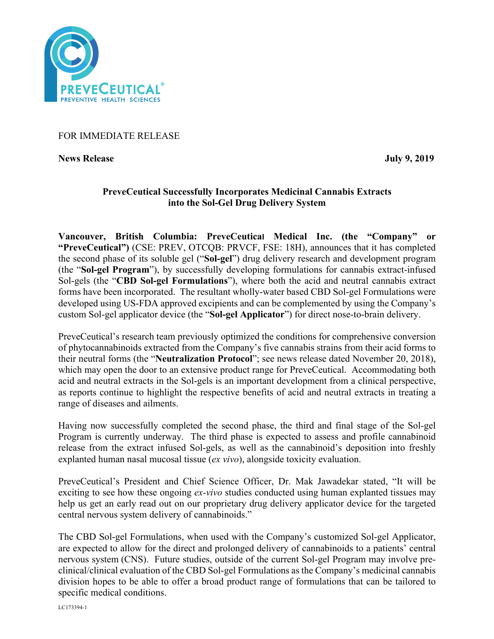

## FOR IMMEDIATE RELEASE

**News Release** July 9, 2019

# **PreveCeutical Successfully Incorporates Medicinal Cannabis Extracts into the Sol-Gel Drug Delivery System**

**Vancouver, British Columbia: PreveCeutical Medical Inc. (the "Company" or "PreveCeutical")** (CSE: PREV, OTCQB: PRVCF, FSE: 18H), announces that it has completed the second phase of its soluble gel ("**Sol-gel**") drug delivery research and development program (the "**Sol-gel Program**"), by successfully developing formulations for cannabis extract-infused Sol-gels (the "**CBD Sol-gel Formulations**"), where both the acid and neutral cannabis extract forms have been incorporated. The resultant wholly-water based CBD Sol-gel Formulations were developed using US-FDA approved excipients and can be complemented by using the Company's custom Sol-gel applicator device (the "**Sol-gel Applicator**") for direct nose-to-brain delivery.

PreveCeutical's research team previously optimized the conditions for comprehensive conversion of phytocannabinoids extracted from the Company's five cannabis strains from their acid forms to their neutral forms (the "**Neutralization Protocol**"; see news release dated November 20, 2018), which may open the door to an extensive product range for PreveCeutical. Accommodating both acid and neutral extracts in the Sol-gels is an important development from a clinical perspective, as reports continue to highlight the respective benefits of acid and neutral extracts in treating a range of diseases and ailments.

Having now successfully completed the second phase, the third and final stage of the Sol-gel Program is currently underway. The third phase is expected to assess and profile cannabinoid release from the extract infused Sol-gels, as well as the cannabinoid's deposition into freshly explanted human nasal mucosal tissue (*ex vivo*), alongside toxicity evaluation.

PreveCeutical's President and Chief Science Officer, Dr. Mak Jawadekar stated, "It will be exciting to see how these ongoing *ex-vivo* studies conducted using human explanted tissues may help us get an early read out on our proprietary drug delivery applicator device for the targeted central nervous system delivery of cannabinoids."

The CBD Sol-gel Formulations, when used with the Company's customized Sol-gel Applicator, are expected to allow for the direct and prolonged delivery of cannabinoids to a patients' central nervous system (CNS). Future studies, outside of the current Sol-gel Program may involve preclinical/clinical evaluation of the CBD Sol-gel Formulations as the Company's medicinal cannabis division hopes to be able to offer a broad product range of formulations that can be tailored to specific medical conditions.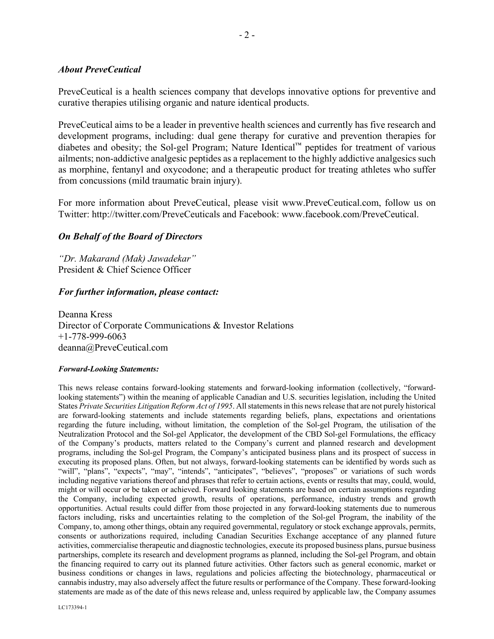### *About PreveCeutical*

PreveCeutical is a health sciences company that develops innovative options for preventive and curative therapies utilising organic and nature identical products.

PreveCeutical aims to be a leader in preventive health sciences and currently has five research and development programs, including: dual gene therapy for curative and prevention therapies for diabetes and obesity; the Sol-gel Program; Nature Identical™ peptides for treatment of various ailments; non-addictive analgesic peptides as a replacement to the highly addictive analgesics such as morphine, fentanyl and oxycodone; and a therapeutic product for treating athletes who suffer from concussions (mild traumatic brain injury).

For more information about PreveCeutical, please visit www.PreveCeutical.com, follow us on Twitter: http://twitter.com/PreveCeuticals and Facebook: www.facebook.com/PreveCeutical.

## *On Behalf of the Board of Directors*

*"Dr. Makarand (Mak) Jawadekar"* President & Chief Science Officer

### *For further information, please contact:*

Deanna Kress Director of Corporate Communications & Investor Relations +1-778-999-6063 deanna@PreveCeutical.com

### *Forward-Looking Statements:*

This news release contains forward-looking statements and forward-looking information (collectively, "forwardlooking statements") within the meaning of applicable Canadian and U.S. securities legislation, including the United States *Private Securities Litigation Reform Act of 1995*. All statements in this news release that are not purely historical are forward-looking statements and include statements regarding beliefs, plans, expectations and orientations regarding the future including, without limitation, the completion of the Sol-gel Program, the utilisation of the Neutralization Protocol and the Sol-gel Applicator, the development of the CBD Sol-gel Formulations, the efficacy of the Company's products, matters related to the Company's current and planned research and development programs, including the Sol-gel Program, the Company's anticipated business plans and its prospect of success in executing its proposed plans. Often, but not always, forward-looking statements can be identified by words such as "will", "plans", "expects", "may", "intends", "anticipates", "believes", "proposes" or variations of such words including negative variations thereof and phrases that refer to certain actions, events or results that may, could, would, might or will occur or be taken or achieved. Forward looking statements are based on certain assumptions regarding the Company, including expected growth, results of operations, performance, industry trends and growth opportunities. Actual results could differ from those projected in any forward-looking statements due to numerous factors including, risks and uncertainties relating to the completion of the Sol-gel Program, the inability of the Company, to, among other things, obtain any required governmental, regulatory or stock exchange approvals, permits, consents or authorizations required, including Canadian Securities Exchange acceptance of any planned future activities, commercialise therapeutic and diagnostic technologies, execute its proposed business plans, pursue business partnerships, complete its research and development programs as planned, including the Sol-gel Program, and obtain the financing required to carry out its planned future activities. Other factors such as general economic, market or business conditions or changes in laws, regulations and policies affecting the biotechnology, pharmaceutical or cannabis industry, may also adversely affect the future results or performance of the Company. These forward-looking statements are made as of the date of this news release and, unless required by applicable law, the Company assumes